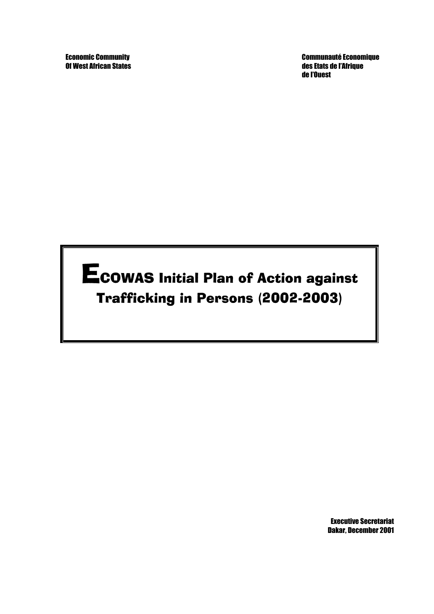Of West African States des Etats de l'Afrique

Economic Community Communauté Economique de l'Ouest

ECOWAS Initial Plan of Action against Trafficking in Persons (2002-2003)

> Executive Secretariat Dakar, December 2001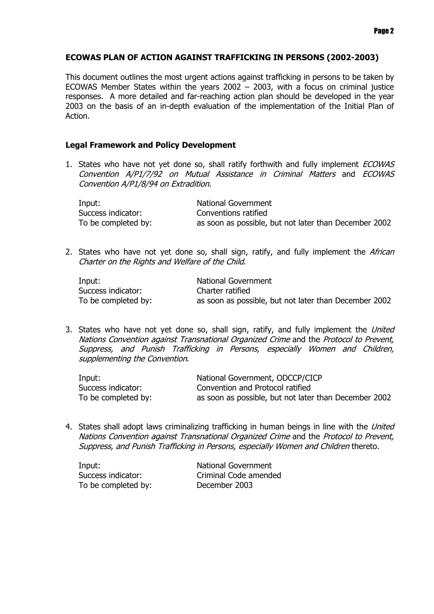# **ECOWAS PLAN OF ACTION AGAINST TRAFFICKING IN PERSONS (2002-2003)**

This document outlines the most urgent actions against trafficking in persons to be taken by ECOWAS Member States within the years 2002 – 2003, with a focus on criminal justice responses. A more detailed and far-reaching action plan should be developed in the year 2003 on the basis of an in-depth evaluation of the implementation of the Initial Plan of Action.

## **Legal Framework and Policy Development**

1. States who have not yet done so, shall ratify forthwith and fully implement *ECOWAS* Convention A/P1/7/92 on Mutual Assistance in Criminal Matters and ECOWAS Convention A/P1/8/94 on Extradition.

| Input:              | National Government                                   |
|---------------------|-------------------------------------------------------|
| Success indicator:  | Conventions ratified                                  |
| To be completed by: | as soon as possible, but not later than December 2002 |

2. States who have not yet done so, shall sign, ratify, and fully implement the African Charter on the Rights and Welfare of the Child.

| Input:              | National Government                                   |
|---------------------|-------------------------------------------------------|
| Success indicator:  | Charter ratified                                      |
| To be completed by: | as soon as possible, but not later than December 2002 |

3. States who have not yet done so, shall sign, ratify, and fully implement the United Nations Convention against Transnational Organized Crime and the Protocol to Prevent, Suppress, and Punish Trafficking in Persons, especially Women and Children, supplementing the Convention.

| Input:              | National Government, ODCCP/CICP                       |
|---------------------|-------------------------------------------------------|
| Success indicator:  | Convention and Protocol ratified                      |
| To be completed by: | as soon as possible, but not later than December 2002 |

4. States shall adopt laws criminalizing trafficking in human beings in line with the United Nations Convention against Transnational Organized Crime and the Protocol to Prevent, Suppress, and Punish Trafficking in Persons, especially Women and Children thereto.

| Input:              | <b>National Government</b> |
|---------------------|----------------------------|
| Success indicator:  | Criminal Code amended      |
| To be completed by: | December 2003              |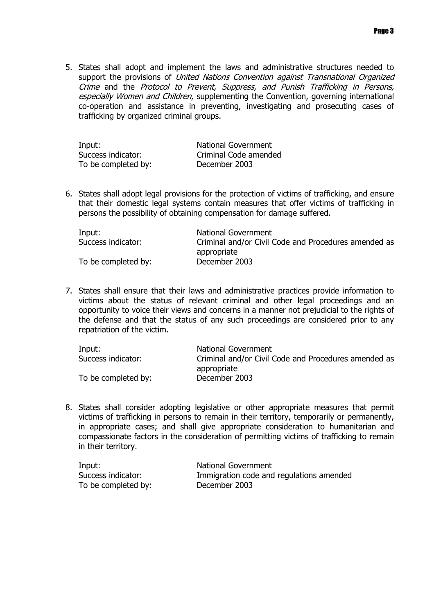5. States shall adopt and implement the laws and administrative structures needed to support the provisions of United Nations Convention against Transnational Organized Crime and the Protocol to Prevent, Suppress, and Punish Trafficking in Persons, especially Women and Children, supplementing the Convention, governing international co-operation and assistance in preventing, investigating and prosecuting cases of trafficking by organized criminal groups.

| Input:              | National Government   |
|---------------------|-----------------------|
| Success indicator:  | Criminal Code amended |
| To be completed by: | December 2003         |

6. States shall adopt legal provisions for the protection of victims of trafficking, and ensure that their domestic legal systems contain measures that offer victims of trafficking in persons the possibility of obtaining compensation for damage suffered.

| Input:              | <b>National Government</b>                           |
|---------------------|------------------------------------------------------|
| Success indicator:  | Criminal and/or Civil Code and Procedures amended as |
|                     | appropriate                                          |
| To be completed by: | December 2003                                        |

7. States shall ensure that their laws and administrative practices provide information to victims about the status of relevant criminal and other legal proceedings and an opportunity to voice their views and concerns in a manner not prejudicial to the rights of the defense and that the status of any such proceedings are considered prior to any repatriation of the victim.

| Input:              | National Government                                  |
|---------------------|------------------------------------------------------|
| Success indicator:  | Criminal and/or Civil Code and Procedures amended as |
|                     | appropriate                                          |
| To be completed by: | December 2003                                        |

8. States shall consider adopting legislative or other appropriate measures that permit victims of trafficking in persons to remain in their territory, temporarily or permanently, in appropriate cases; and shall give appropriate consideration to humanitarian and compassionate factors in the consideration of permitting victims of trafficking to remain in their territory.

| Input:              |
|---------------------|
| Success indicator:  |
| To be completed by: |

National Government Immigration code and regulations amended mpleted by: December 2003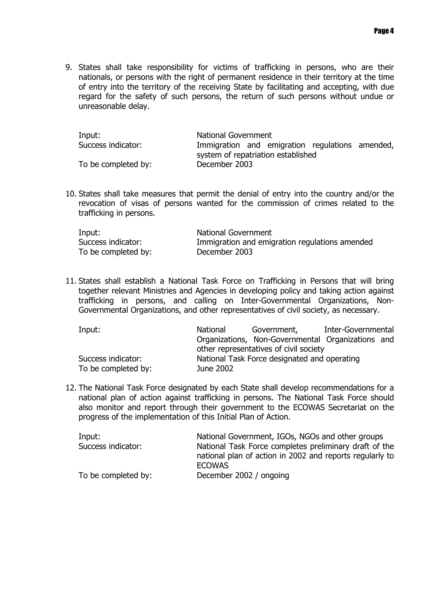9. States shall take responsibility for victims of trafficking in persons, who are their nationals, or persons with the right of permanent residence in their territory at the time of entry into the territory of the receiving State by facilitating and accepting, with due regard for the safety of such persons, the return of such persons without undue or unreasonable delay.

| Input:              | <b>National Government</b>                      |
|---------------------|-------------------------------------------------|
| Success indicator:  | Immigration and emigration regulations amended, |
|                     | system of repatriation established              |
| To be completed by: | December 2003                                   |

10. States shall take measures that permit the denial of entry into the country and/or the revocation of visas of persons wanted for the commission of crimes related to the trafficking in persons.

| Input:              | <b>National Government</b>                     |
|---------------------|------------------------------------------------|
| Success indicator:  | Immigration and emigration regulations amended |
| To be completed by: | December 2003                                  |

11. States shall establish a National Task Force on Trafficking in Persons that will bring together relevant Ministries and Agencies in developing policy and taking action against trafficking in persons, and calling on Inter-Governmental Organizations, Non-Governmental Organizations, and other representatives of civil society, as necessary.

| Input:              | National  | Government,                                       | Inter-Governmental |  |
|---------------------|-----------|---------------------------------------------------|--------------------|--|
|                     |           | Organizations, Non-Governmental Organizations and |                    |  |
|                     |           | other representatives of civil society            |                    |  |
| Success indicator:  |           | National Task Force designated and operating      |                    |  |
| To be completed by: | June 2002 |                                                   |                    |  |

12. The National Task Force designated by each State shall develop recommendations for a national plan of action against trafficking in persons. The National Task Force should also monitor and report through their government to the ECOWAS Secretariat on the progress of the implementation of this Initial Plan of Action.

| Input:              | National Government, IGOs, NGOs and other groups                                                                   |
|---------------------|--------------------------------------------------------------------------------------------------------------------|
| Success indicator:  | National Task Force completes preliminary draft of the<br>national plan of action in 2002 and reports regularly to |
|                     | <b>ECOWAS</b>                                                                                                      |
| To be completed by: | December 2002 / ongoing                                                                                            |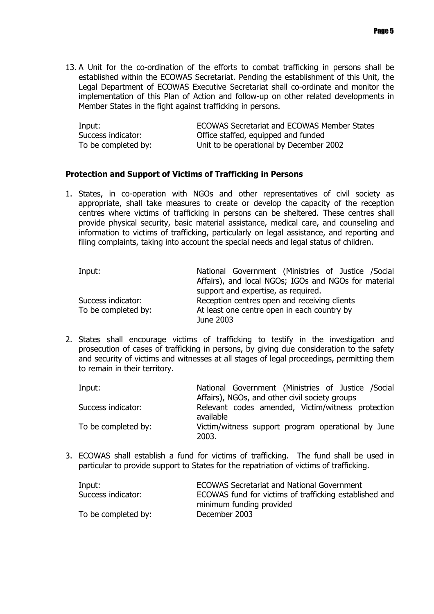13. A Unit for the co-ordination of the efforts to combat trafficking in persons shall be established within the ECOWAS Secretariat. Pending the establishment of this Unit, the Legal Department of ECOWAS Executive Secretariat shall co-ordinate and monitor the implementation of this Plan of Action and follow-up on other related developments in Member States in the fight against trafficking in persons.

| Input:              | <b>ECOWAS Secretariat and ECOWAS Member States</b> |
|---------------------|----------------------------------------------------|
| Success indicator:  | Office staffed, equipped and funded                |
| To be completed by: | Unit to be operational by December 2002            |

### **Protection and Support of Victims of Trafficking in Persons**

1. States, in co-operation with NGOs and other representatives of civil society as appropriate, shall take measures to create or develop the capacity of the reception centres where victims of trafficking in persons can be sheltered. These centres shall provide physical security, basic material assistance, medical care, and counseling and information to victims of trafficking, particularly on legal assistance, and reporting and filing complaints, taking into account the special needs and legal status of children.

| Input:              | National Government (Ministries of Justice / Social  |
|---------------------|------------------------------------------------------|
|                     | Affairs), and local NGOs; IGOs and NGOs for material |
|                     | support and expertise, as required.                  |
| Success indicator:  | Reception centres open and receiving clients         |
| To be completed by: | At least one centre open in each country by          |
|                     | June 2003                                            |

2. States shall encourage victims of trafficking to testify in the investigation and prosecution of cases of trafficking in persons, by giving due consideration to the safety and security of victims and witnesses at all stages of legal proceedings, permitting them to remain in their territory.

| Input:              | National Government (Ministries of Justice /Social             |
|---------------------|----------------------------------------------------------------|
|                     | Affairs), NGOs, and other civil society groups                 |
| Success indicator:  | Relevant codes amended, Victim/witness protection<br>available |
| To be completed by: | Victim/witness support program operational by June<br>2003.    |

3. ECOWAS shall establish a fund for victims of trafficking. The fund shall be used in particular to provide support to States for the repatriation of victims of trafficking.

| Input:              | <b>ECOWAS Secretariat and National Government</b>      |
|---------------------|--------------------------------------------------------|
| Success indicator:  | ECOWAS fund for victims of trafficking established and |
|                     | minimum funding provided                               |
| To be completed by: | December 2003                                          |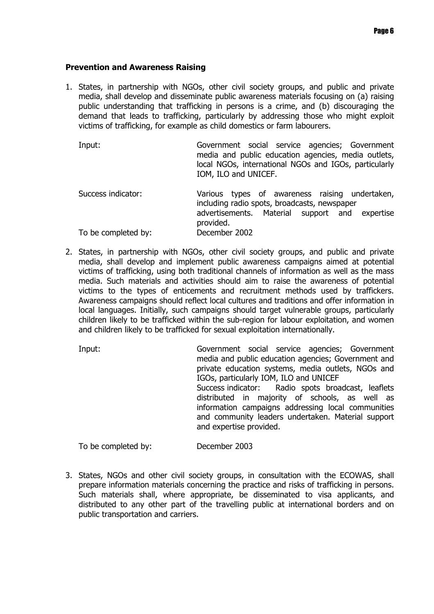#### **Prevention and Awareness Raising**

1. States, in partnership with NGOs, other civil society groups, and public and private media, shall develop and disseminate public awareness materials focusing on (a) raising public understanding that trafficking in persons is a crime, and (b) discouraging the demand that leads to trafficking, particularly by addressing those who might exploit victims of trafficking, for example as child domestics or farm labourers.

| Input:              | Government social service agencies; Government<br>media and public education agencies, media outlets,<br>local NGOs, international NGOs and IGOs, particularly<br>IOM, ILO and UNICEF. |
|---------------------|----------------------------------------------------------------------------------------------------------------------------------------------------------------------------------------|
| Success indicator:  | Various types of awareness raising undertaken,<br>including radio spots, broadcasts, newspaper                                                                                         |
|                     | advertisements. Material support and expertise<br>provided.                                                                                                                            |
| To be completed by: | December 2002                                                                                                                                                                          |

2. States, in partnership with NGOs, other civil society groups, and public and private media, shall develop and implement public awareness campaigns aimed at potential victims of trafficking, using both traditional channels of information as well as the mass media. Such materials and activities should aim to raise the awareness of potential victims to the types of enticements and recruitment methods used by traffickers. Awareness campaigns should reflect local cultures and traditions and offer information in local languages. Initially, such campaigns should target vulnerable groups, particularly children likely to be trafficked within the sub-region for labour exploitation, and women and children likely to be trafficked for sexual exploitation internationally.

Input: Government social service agencies; Government media and public education agencies; Government and private education systems, media outlets, NGOs and IGOs, particularly IOM, ILO and UNICEF Success indicator: Radio spots broadcast, leaflets distributed in majority of schools, as well as information campaigns addressing local communities and community leaders undertaken. Material support and expertise provided. To be completed by: December 2003

3. States, NGOs and other civil society groups, in consultation with the ECOWAS, shall prepare information materials concerning the practice and risks of trafficking in persons. Such materials shall, where appropriate, be disseminated to visa applicants, and distributed to any other part of the travelling public at international borders and on public transportation and carriers.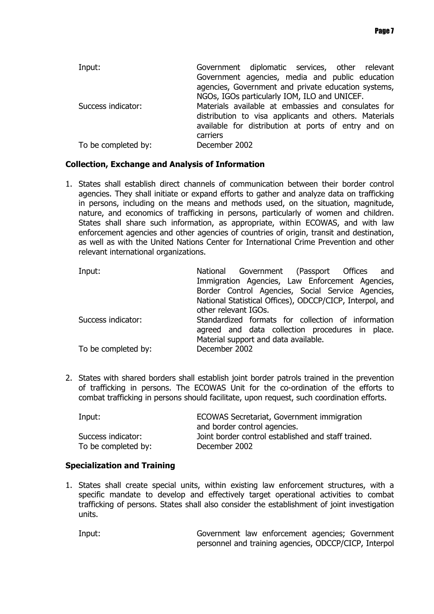| Input:              | Government diplomatic services, other relevant        |
|---------------------|-------------------------------------------------------|
|                     | Government agencies, media and public education       |
|                     | agencies, Government and private education systems,   |
|                     | NGOs, IGOs particularly IOM, ILO and UNICEF.          |
| Success indicator:  | Materials available at embassies and consulates for   |
|                     | distribution to visa applicants and others. Materials |
|                     | available for distribution at ports of entry and on   |
|                     | carriers                                              |
| To be completed by: | December 2002                                         |

# **Collection, Exchange and Analysis of Information**

1. States shall establish direct channels of communication between their border control agencies. They shall initiate or expand efforts to gather and analyze data on trafficking in persons, including on the means and methods used, on the situation, magnitude, nature, and economics of trafficking in persons, particularly of women and children. States shall share such information, as appropriate, within ECOWAS, and with law enforcement agencies and other agencies of countries of origin, transit and destination, as well as with the United Nations Center for International Crime Prevention and other relevant international organizations.

| Input:              | National Government (Passport Offices and                                                                                                     |
|---------------------|-----------------------------------------------------------------------------------------------------------------------------------------------|
|                     | Immigration Agencies, Law Enforcement Agencies,                                                                                               |
|                     | Border Control Agencies, Social Service Agencies,                                                                                             |
|                     | National Statistical Offices), ODCCP/CICP, Interpol, and                                                                                      |
|                     | other relevant IGOs.                                                                                                                          |
| Success indicator:  | Standardized formats for collection of information<br>agreed and data collection procedures in place.<br>Material support and data available. |
| To be completed by: | December 2002                                                                                                                                 |

2. States with shared borders shall establish joint border patrols trained in the prevention of trafficking in persons. The ECOWAS Unit for the co-ordination of the efforts to combat trafficking in persons should facilitate, upon request, such coordination efforts.

| Input:              | ECOWAS Secretariat, Government immigration          |
|---------------------|-----------------------------------------------------|
|                     | and border control agencies.                        |
| Success indicator:  | Joint border control established and staff trained. |
| To be completed by: | December 2002                                       |

# **Specialization and Training**

1. States shall create special units, within existing law enforcement structures, with a specific mandate to develop and effectively target operational activities to combat trafficking of persons. States shall also consider the establishment of joint investigation units.

Input: Government law enforcement agencies; Government personnel and training agencies, ODCCP/CICP, Interpol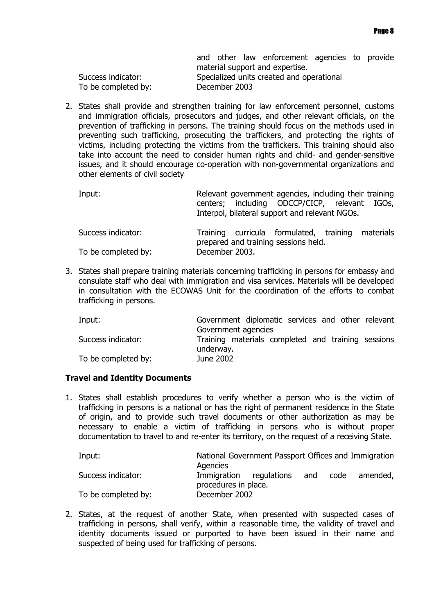|                     |               | and other law enforcement agencies to provide |  |  |
|---------------------|---------------|-----------------------------------------------|--|--|
|                     |               | material support and expertise.               |  |  |
| Success indicator:  |               | Specialized units created and operational     |  |  |
| To be completed by: | December 2003 |                                               |  |  |
|                     |               |                                               |  |  |

2. States shall provide and strengthen training for law enforcement personnel, customs and immigration officials, prosecutors and judges, and other relevant officials, on the prevention of trafficking in persons. The training should focus on the methods used in preventing such trafficking, prosecuting the traffickers, and protecting the rights of victims, including protecting the victims from the traffickers. This training should also take into account the need to consider human rights and child- and gender-sensitive issues, and it should encourage co-operation with non-governmental organizations and other elements of civil society

| Input:              |                | Relevant government agencies, including their training<br>centers; including ODCCP/CICP, relevant IGOs,<br>Interpol, bilateral support and relevant NGOs. |  |
|---------------------|----------------|-----------------------------------------------------------------------------------------------------------------------------------------------------------|--|
| Success indicator:  |                | Training curricula formulated, training materials<br>prepared and training sessions held.                                                                 |  |
| To be completed by: | December 2003. |                                                                                                                                                           |  |

3. States shall prepare training materials concerning trafficking in persons for embassy and consulate staff who deal with immigration and visa services. Materials will be developed in consultation with the ECOWAS Unit for the coordination of the efforts to combat trafficking in persons.

| Input:              | Government diplomatic services and other relevant               |
|---------------------|-----------------------------------------------------------------|
|                     | Government agencies                                             |
| Success indicator:  | Training materials completed and training sessions<br>underway. |
| To be completed by: | June 2002                                                       |

# **Travel and Identity Documents**

1. States shall establish procedures to verify whether a person who is the victim of trafficking in persons is a national or has the right of permanent residence in the State of origin, and to provide such travel documents or other authorization as may be necessary to enable a victim of trafficking in persons who is without proper documentation to travel to and re-enter its territory, on the request of a receiving State.

| Input:              | National Government Passport Offices and Immigration<br>Agencies |             |          |  |          |
|---------------------|------------------------------------------------------------------|-------------|----------|--|----------|
| Success indicator:  | Immigration<br>procedures in place.                              | regulations | and code |  | amended, |
| To be completed by: | December 2002                                                    |             |          |  |          |

2. States, at the request of another State, when presented with suspected cases of trafficking in persons, shall verify, within a reasonable time, the validity of travel and identity documents issued or purported to have been issued in their name and suspected of being used for trafficking of persons.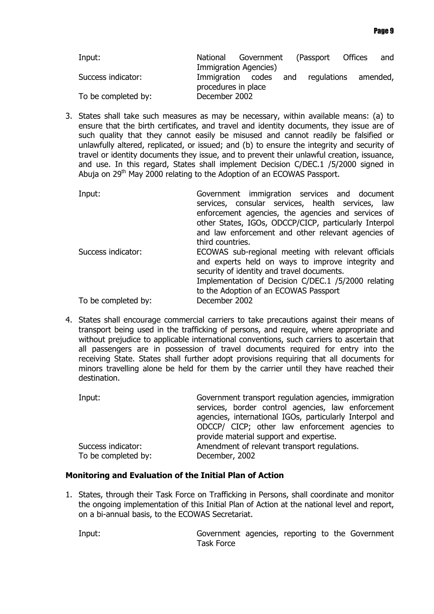| Input:              | National            | Government            | (Passport Offices    | and |
|---------------------|---------------------|-----------------------|----------------------|-----|
|                     |                     | Immigration Agencies) |                      |     |
| Success indicator:  | procedures in place | Immigration codes and | requiations amended, |     |
| To be completed by: | December 2002       |                       |                      |     |

3. States shall take such measures as may be necessary, within available means: (a) to ensure that the birth certificates, and travel and identity documents, they issue are of such quality that they cannot easily be misused and cannot readily be falsified or unlawfully altered, replicated, or issued; and (b) to ensure the integrity and security of travel or identity documents they issue, and to prevent their unlawful creation, issuance, and use. In this regard, States shall implement Decision C/DEC.1 /5/2000 signed in Abuia on 29<sup>th</sup> May 2000 relating to the Adoption of an ECOWAS Passport.

| Input:              | Government immigration services and document<br>services, consular services, health services, law<br>enforcement agencies, the agencies and services of<br>other States, IGOs, ODCCP/CICP, particularly Interpol<br>and law enforcement and other relevant agencies of<br>third countries. |
|---------------------|--------------------------------------------------------------------------------------------------------------------------------------------------------------------------------------------------------------------------------------------------------------------------------------------|
| Success indicator:  | ECOWAS sub-regional meeting with relevant officials<br>and experts held on ways to improve integrity and<br>security of identity and travel documents.<br>Implementation of Decision C/DEC.1 /5/2000 relating<br>to the Adoption of an ECOWAS Passport                                     |
| To be completed by: | December 2002                                                                                                                                                                                                                                                                              |

4. States shall encourage commercial carriers to take precautions against their means of transport being used in the trafficking of persons, and require, where appropriate and without prejudice to applicable international conventions, such carriers to ascertain that all passengers are in possession of travel documents required for entry into the receiving State. States shall further adopt provisions requiring that all documents for minors travelling alone be held for them by the carrier until they have reached their destination.

| Input:              | Government transport regulation agencies, immigration   |
|---------------------|---------------------------------------------------------|
|                     | services, border control agencies, law enforcement      |
|                     | agencies, international IGOs, particularly Interpol and |
|                     | ODCCP/ CICP; other law enforcement agencies to          |
|                     | provide material support and expertise.                 |
| Success indicator:  | Amendment of relevant transport regulations.            |
| To be completed by: | December, 2002                                          |

# **Monitoring and Evaluation of the Initial Plan of Action**

1. States, through their Task Force on Trafficking in Persons, shall coordinate and monitor the ongoing implementation of this Initial Plan of Action at the national level and report, on a bi-annual basis, to the ECOWAS Secretariat.

Input: Government agencies, reporting to the Government Task Force